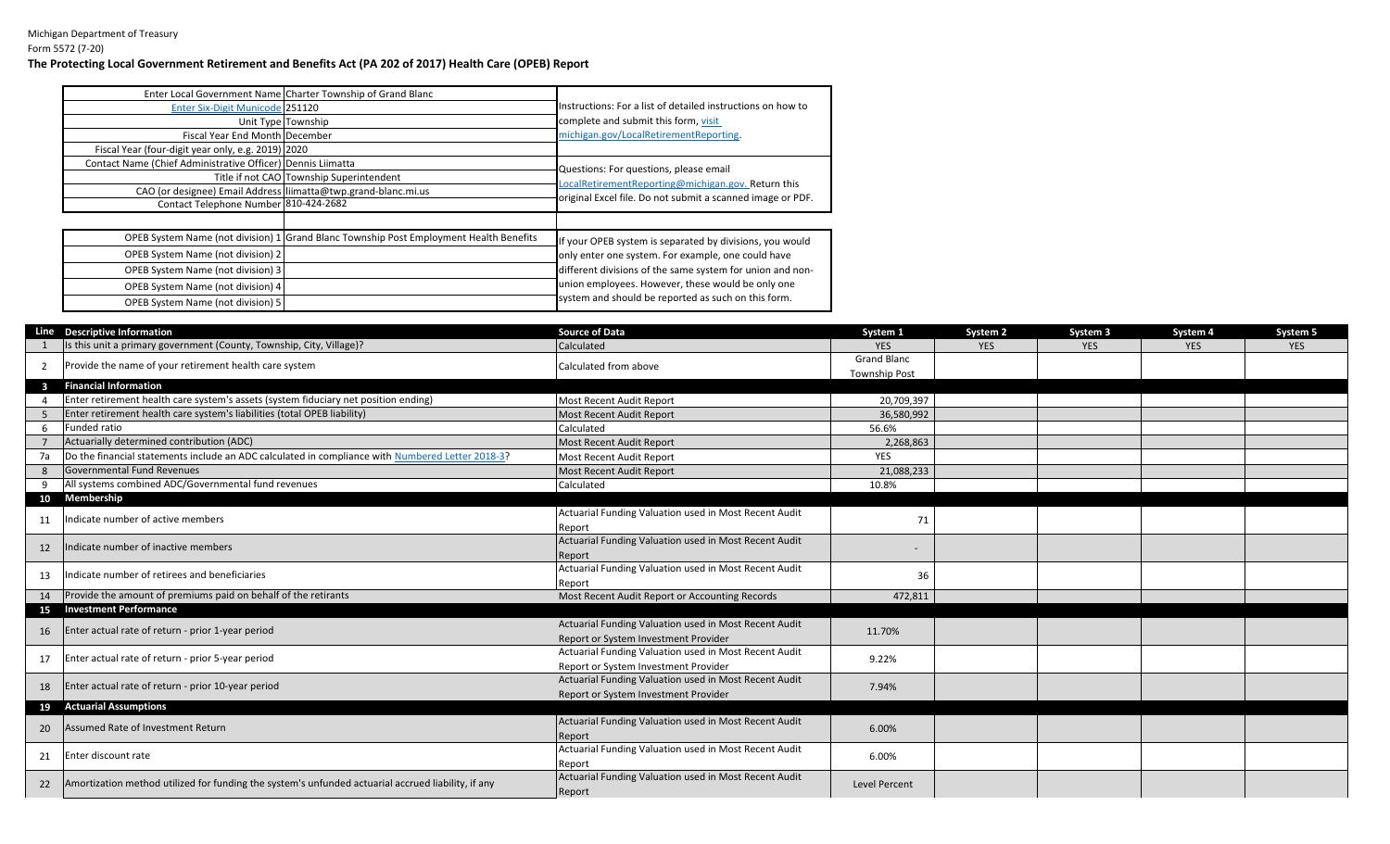|                                                                | Enter Local Government Name Charter Township of Grand Blanc                            |                                                             |  |  |
|----------------------------------------------------------------|----------------------------------------------------------------------------------------|-------------------------------------------------------------|--|--|
| Enter Six-Digit Municode 251120                                |                                                                                        | Instructions: For a list of detailed instructions on how to |  |  |
|                                                                | Unit Type Township                                                                     | complete and submit this form, visit                        |  |  |
| Fiscal Year End Month December                                 |                                                                                        | michigan.gov/LocalRetirementReporting.                      |  |  |
| Fiscal Year (four-digit year only, e.g. 2019) 2020             |                                                                                        |                                                             |  |  |
| Contact Name (Chief Administrative Officer) Dennis Liimatta    |                                                                                        | Questions: For questions, please email                      |  |  |
|                                                                | Title if not CAO Township Superintendent                                               | LocalRetirementReporting@michigan.gov. Return this          |  |  |
| CAO (or designee) Email Address liimatta@twp.grand-blanc.mi.us |                                                                                        | original Excel file. Do not submit a scanned image or PDF.  |  |  |
| Contact Telephone Number 810-424-2682                          |                                                                                        |                                                             |  |  |
|                                                                |                                                                                        |                                                             |  |  |
|                                                                | OPEB System Name (not division) 1 Grand Blanc Township Post Employment Health Benefits | If your OPEB system is separated by divisions, you would    |  |  |
| OPEB System Name (not division) 2                              |                                                                                        | only enter one system. For example, one could have          |  |  |
| OPEB System Name (not division) 3                              |                                                                                        | different divisions of the same system for union and non-   |  |  |
| OPEB System Name (not division) 4                              |                                                                                        | union employees. However, these would be only one           |  |  |
| <b>OPEB System Name (not division) 5</b>                       |                                                                                        | system and should be reported as such on this form.         |  |  |
|                                                                |                                                                                        |                                                             |  |  |

|                | Line Descriptive Information                                                                       | <b>Source of Data</b>                                 | System 1             | System <sub>2</sub> | System 3   | System 4   | System 5   |
|----------------|----------------------------------------------------------------------------------------------------|-------------------------------------------------------|----------------------|---------------------|------------|------------|------------|
|                | Is this unit a primary government (County, Township, City, Village)?                               | Calculated                                            | <b>YES</b>           | <b>YES</b>          | <b>YES</b> | <b>YES</b> | <b>YES</b> |
| $\overline{2}$ | Provide the name of your retirement health care system                                             | Calculated from above                                 | <b>Grand Blanc</b>   |                     |            |            |            |
|                |                                                                                                    |                                                       | <b>Township Post</b> |                     |            |            |            |
|                | <b>Financial Information</b>                                                                       |                                                       |                      |                     |            |            |            |
|                | Enter retirement health care system's assets (system fiduciary net position ending)                | Most Recent Audit Report                              | 20,709,397           |                     |            |            |            |
|                | Enter retirement health care system's liabilities (total OPEB liability)                           | Most Recent Audit Report                              | 36,580,992           |                     |            |            |            |
| 6              | Funded ratio                                                                                       | Calculated                                            | 56.6%                |                     |            |            |            |
|                | Actuarially determined contribution (ADC)                                                          | Most Recent Audit Report                              | 2,268,863            |                     |            |            |            |
| 7a             | Do the financial statements include an ADC calculated in compliance with Numbered Letter 2018-3?   | Most Recent Audit Report                              | <b>YES</b>           |                     |            |            |            |
|                | Governmental Fund Revenues                                                                         | Most Recent Audit Report                              | 21,088,233           |                     |            |            |            |
| 9              | All systems combined ADC/Governmental fund revenues                                                | Calculated                                            | 10.8%                |                     |            |            |            |
|                | 10 Membership                                                                                      |                                                       |                      |                     |            |            |            |
| 11             | Indicate number of active members                                                                  | Actuarial Funding Valuation used in Most Recent Audit | 71                   |                     |            |            |            |
|                |                                                                                                    | Report                                                |                      |                     |            |            |            |
| 12             | ndicate number of inactive members                                                                 | Actuarial Funding Valuation used in Most Recent Audit |                      |                     |            |            |            |
|                |                                                                                                    | Report                                                |                      |                     |            |            |            |
| 13             | Indicate number of retirees and beneficiaries                                                      | Actuarial Funding Valuation used in Most Recent Audit | 36                   |                     |            |            |            |
|                |                                                                                                    | Report                                                |                      |                     |            |            |            |
| 14             | Provide the amount of premiums paid on behalf of the retirants                                     | Most Recent Audit Report or Accounting Records        | 472,811              |                     |            |            |            |
|                | 15 Investment Performance                                                                          |                                                       |                      |                     |            |            |            |
| 16             | Enter actual rate of return - prior 1-year period                                                  | Actuarial Funding Valuation used in Most Recent Audit | 11.70%               |                     |            |            |            |
|                |                                                                                                    | Report or System Investment Provider                  |                      |                     |            |            |            |
| 17             | Enter actual rate of return - prior 5-year period                                                  | Actuarial Funding Valuation used in Most Recent Audit | 9.22%                |                     |            |            |            |
|                |                                                                                                    | Report or System Investment Provider                  |                      |                     |            |            |            |
| 18             | Enter actual rate of return - prior 10-year period                                                 | Actuarial Funding Valuation used in Most Recent Audit | 7.94%                |                     |            |            |            |
|                |                                                                                                    | Report or System Investment Provider                  |                      |                     |            |            |            |
|                | 19 Actuarial Assumptions                                                                           |                                                       |                      |                     |            |            |            |
| 20             | Assumed Rate of Investment Return                                                                  | Actuarial Funding Valuation used in Most Recent Audit | 6.00%                |                     |            |            |            |
|                |                                                                                                    | Report                                                |                      |                     |            |            |            |
| 21             | Enter discount rate                                                                                | Actuarial Funding Valuation used in Most Recent Audit | 6.00%                |                     |            |            |            |
|                |                                                                                                    | Report                                                |                      |                     |            |            |            |
| 22             | Amortization method utilized for funding the system's unfunded actuarial accrued liability, if any | Actuarial Funding Valuation used in Most Recent Audit | <b>Level Percent</b> |                     |            |            |            |
|                |                                                                                                    | Report                                                |                      |                     |            |            |            |